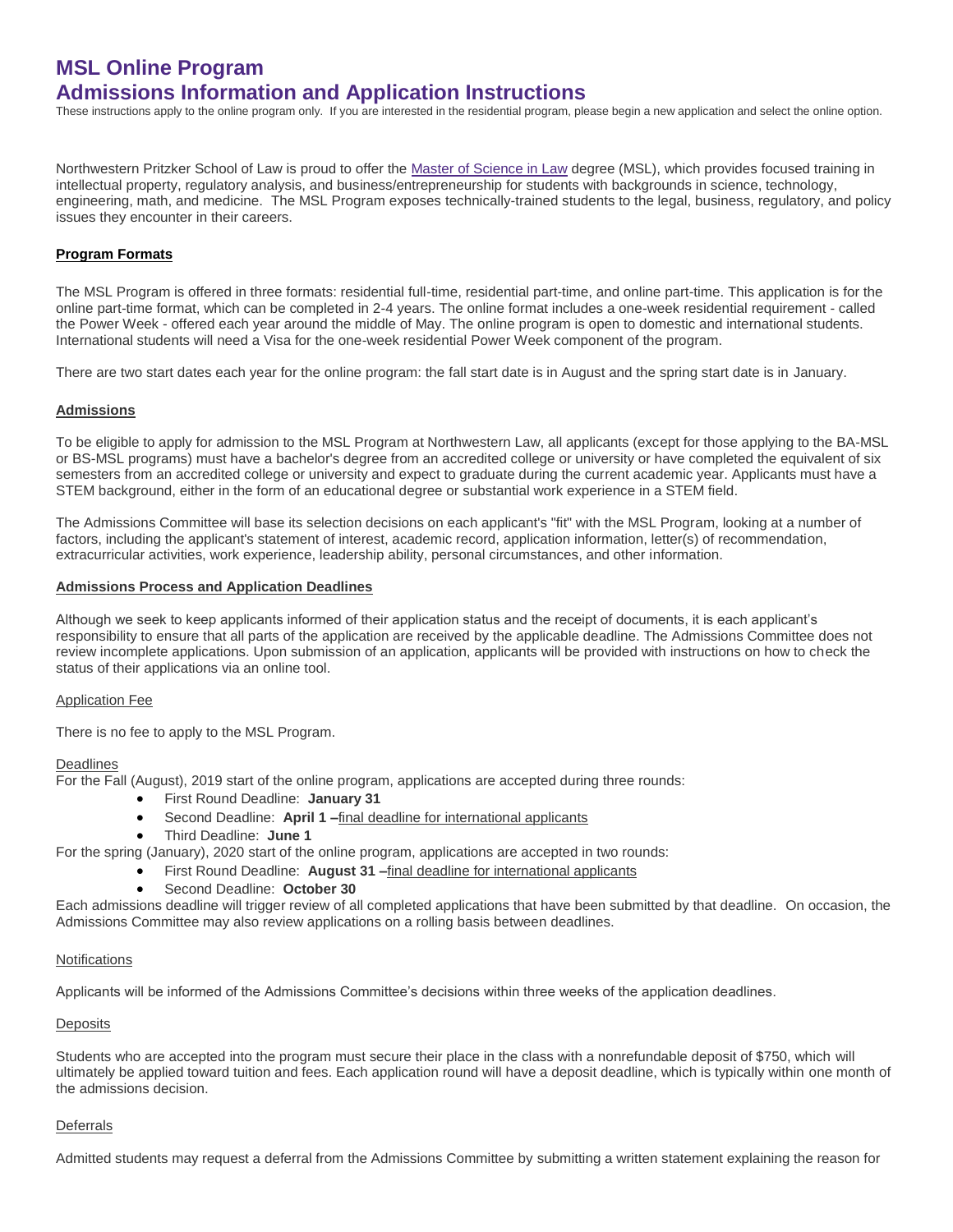# **MSL Online Program Admissions Information and Application Instructions**

These instructions apply to the online program only. If you are interested in the residential program, please begin a new application and select the online option.

Northwestern Pritzker School of Law is proud to offer the [Master of Science in Law](http://www.law.northwestern.edu/academics/degree-programs/msl/) degree (MSL), which provides focused training in intellectual property, regulatory analysis, and business/entrepreneurship for students with backgrounds in science, technology, engineering, math, and medicine. The MSL Program exposes technically-trained students to the legal, business, regulatory, and policy issues they encounter in their careers.

## **Program Formats**

The MSL Program is offered in three formats: residential full-time, residential part-time, and online part-time. This application is for the online part-time format, which can be completed in 2-4 years. The online format includes a one-week residential requirement - called the Power Week - offered each year around the middle of May. The online program is open to domestic and international students. International students will need a Visa for the one-week residential Power Week component of the program.

There are two start dates each year for the online program: the fall start date is in August and the spring start date is in January.

#### **Admissions**

To be eligible to apply for admission to the MSL Program at Northwestern Law, all applicants (except for those applying to the BA-MSL or BS-MSL programs) must have a bachelor's degree from an accredited college or university or have completed the equivalent of six semesters from an accredited college or university and expect to graduate during the current academic year. Applicants must have a STEM background, either in the form of an educational degree or substantial work experience in a STEM field.

The Admissions Committee will base its selection decisions on each applicant's "fit" with the MSL Program, looking at a number of factors, including the applicant's statement of interest, academic record, application information, letter(s) of recommendation, extracurricular activities, work experience, leadership ability, personal circumstances, and other information.

#### **Admissions Process and Application Deadlines**

Although we seek to keep applicants informed of their application status and the receipt of documents, it is each applicant's responsibility to ensure that all parts of the application are received by the applicable deadline. The Admissions Committee does not review incomplete applications. Upon submission of an application, applicants will be provided with instructions on how to check the status of their applications via an online tool.

#### Application Fee

There is no fee to apply to the MSL Program.

#### Deadlines

For the Fall (August), 2019 start of the online program, applications are accepted during three rounds:

- First Round Deadline: **January 31**
	- Second Deadline: **April 1 –**final deadline for international applicants
- Third Deadline: **June 1**

For the spring (January), 2020 start of the online program, applications are accepted in two rounds:

- First Round Deadline: **August 31 –**final deadline for international applicants
- Second Deadline: **October 30**

Each admissions deadline will trigger review of all completed applications that have been submitted by that deadline. On occasion, the Admissions Committee may also review applications on a rolling basis between deadlines.

#### **Notifications**

Applicants will be informed of the Admissions Committee's decisions within three weeks of the application deadlines.

#### **Deposits**

Students who are accepted into the program must secure their place in the class with a nonrefundable deposit of \$750, which will ultimately be applied toward tuition and fees. Each application round will have a deposit deadline, which is typically within one month of the admissions decision.

#### **Deferrals**

Admitted students may request a deferral from the Admissions Committee by submitting a written statement explaining the reason for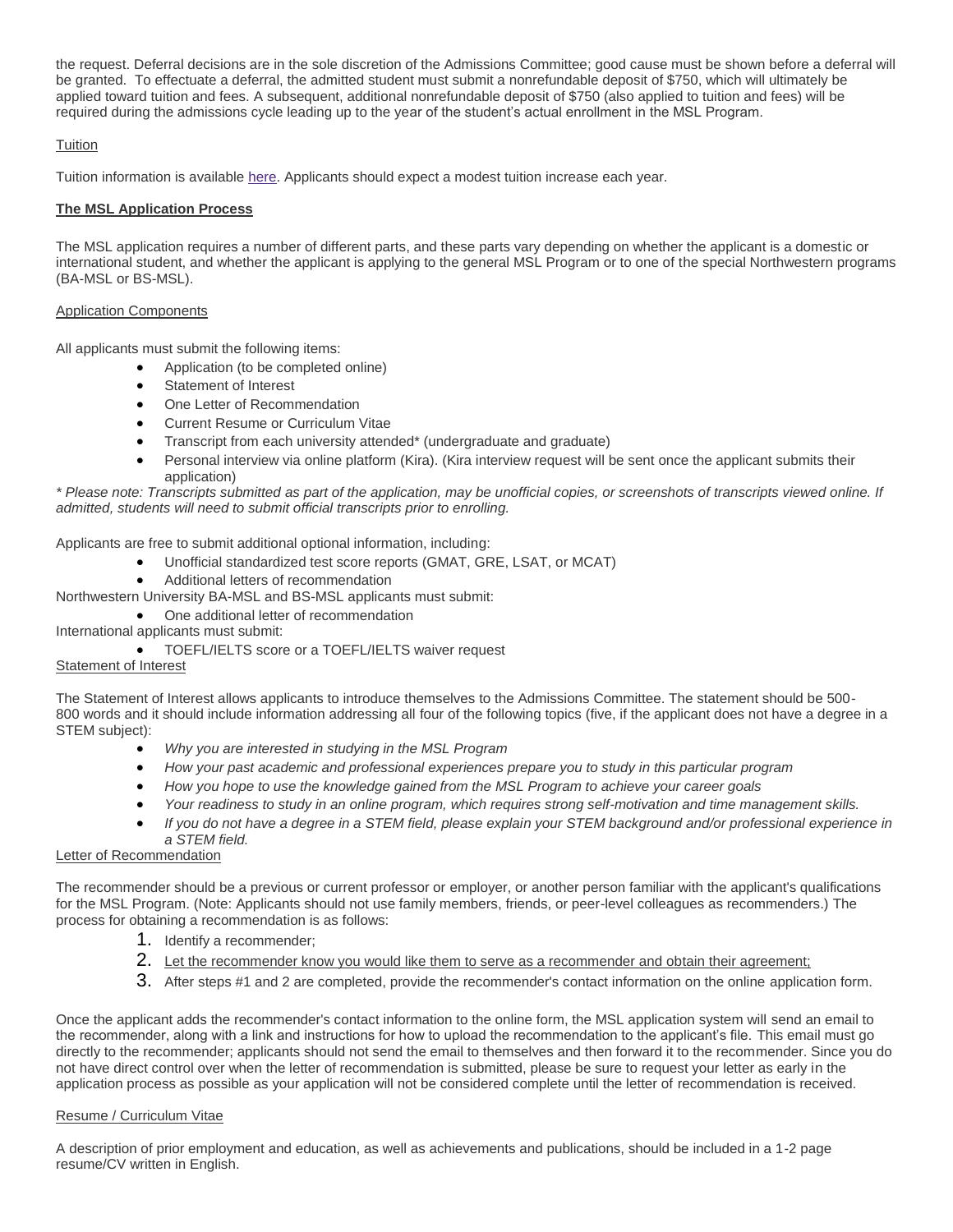the request. Deferral decisions are in the sole discretion of the Admissions Committee; good cause must be shown before a deferral will be granted. To effectuate a deferral, the admitted student must submit a nonrefundable deposit of \$750, which will ultimately be applied toward tuition and fees. A subsequent, additional nonrefundable deposit of \$750 (also applied to tuition and fees) will be required during the admissions cycle leading up to the year of the student's actual enrollment in the MSL Program.

# **Tuition**

Tuition information is available [here.](http://www.law.northwestern.edu/admissions/tuitionaid/tuition/) Applicants should expect a modest tuition increase each year.

# **The MSL Application Process**

The MSL application requires a number of different parts, and these parts vary depending on whether the applicant is a domestic or international student, and whether the applicant is applying to the general MSL Program or to one of the special Northwestern programs (BA-MSL or BS-MSL).

## Application Components

All applicants must submit the following items:

- Application (to be completed online)
- Statement of Interest
- One Letter of Recommendation
- Current Resume or Curriculum Vitae
- Transcript from each university attended\* (undergraduate and graduate)
- Personal interview via online platform (Kira). (Kira interview request will be sent once the applicant submits their application)

*\* Please note: Transcripts submitted as part of the application, may be unofficial copies, or screenshots of transcripts viewed online. If admitted, students will need to submit official transcripts prior to enrolling.*

Applicants are free to submit additional optional information, including:

- Unofficial standardized test score reports (GMAT, GRE, LSAT, or MCAT)
- Additional letters of recommendation

Northwestern University BA-MSL and BS-MSL applicants must submit:

- One additional letter of recommendation
- International applicants must submit:
	- TOEFL/IELTS score or a TOEFL/IELTS waiver request

## Statement of Interest

The Statement of Interest allows applicants to introduce themselves to the Admissions Committee. The statement should be 500- 800 words and it should include information addressing all four of the following topics (five, if the applicant does not have a degree in a STEM subject):

- *Why you are interested in studying in the MSL Program*
- *How your past academic and professional experiences prepare you to study in this particular program*
- *How you hope to use the knowledge gained from the MSL Program to achieve your career goals*
- *Your readiness to study in an online program, which requires strong self-motivation and time management skills.*
- *If you do not have a degree in a STEM field, please explain your STEM background and/or professional experience in a STEM field.*

## Letter of Recommendation

The recommender should be a previous or current professor or employer, or another person familiar with the applicant's qualifications for the MSL Program. (Note: Applicants should not use family members, friends, or peer-level colleagues as recommenders.) The process for obtaining a recommendation is as follows:

- 1. Identify a recommender;
- 2. Let the recommender know you would like them to serve as a recommender and obtain their agreement;
- 3. After steps #1 and 2 are completed, provide the recommender's contact information on the online application form.

Once the applicant adds the recommender's contact information to the online form, the MSL application system will send an email to the recommender, along with a link and instructions for how to upload the recommendation to the applicant's file. This email must go directly to the recommender; applicants should not send the email to themselves and then forward it to the recommender. Since you do not have direct control over when the letter of recommendation is submitted, please be sure to request your letter as early in the application process as possible as your application will not be considered complete until the letter of recommendation is received.

## Resume / Curriculum Vitae

A description of prior employment and education, as well as achievements and publications, should be included in a 1-2 page resume/CV written in English.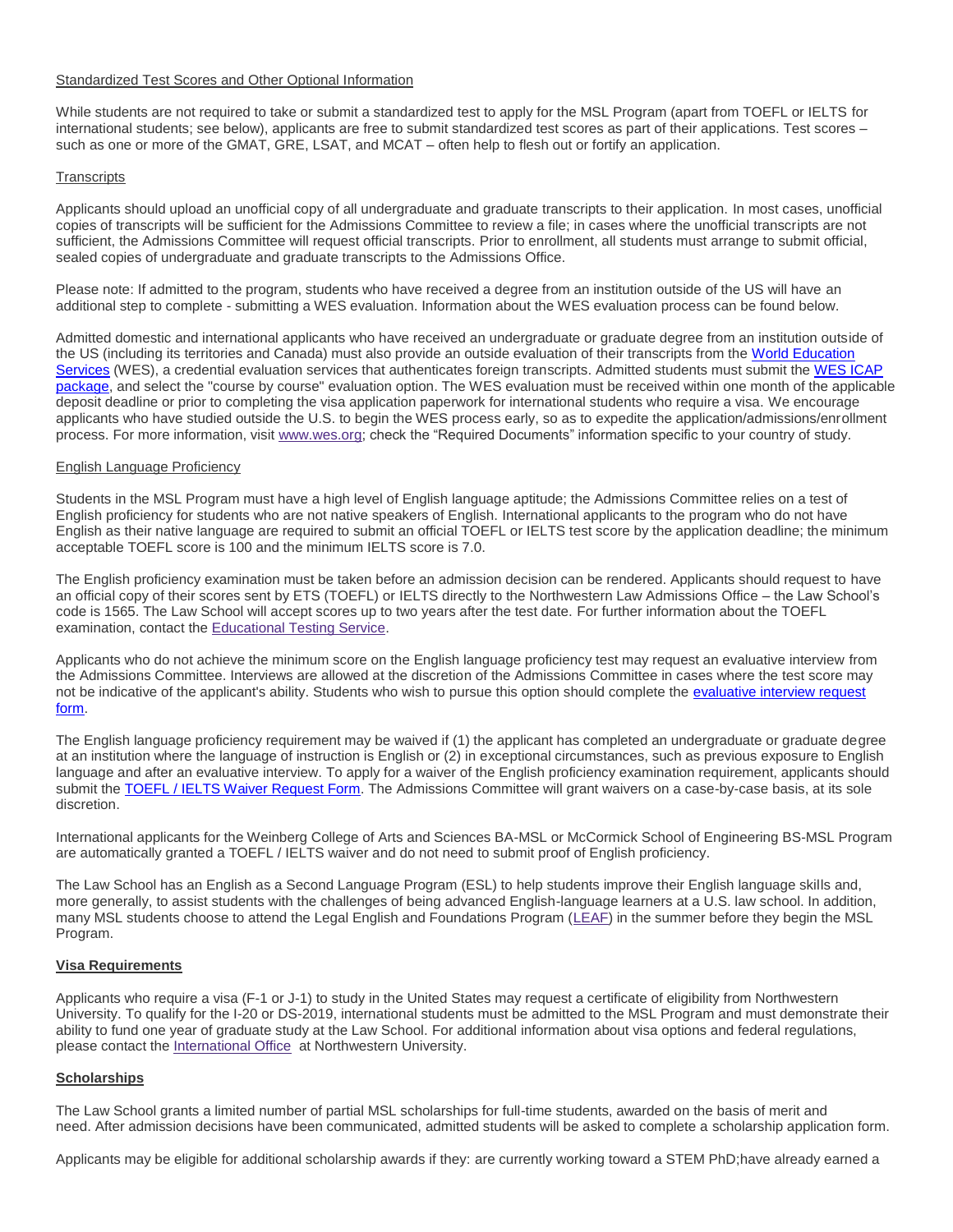## Standardized Test Scores and Other Optional Information

While students are not required to take or submit a standardized test to apply for the MSL Program (apart from TOEFL or IELTS for international students; see below), applicants are free to submit standardized test scores as part of their applications. Test scores – such as one or more of the GMAT, GRE, LSAT, and MCAT – often help to flesh out or fortify an application.

## **Transcripts**

Applicants should upload an unofficial copy of all undergraduate and graduate transcripts to their application. In most cases, unofficial copies of transcripts will be sufficient for the Admissions Committee to review a file; in cases where the unofficial transcripts are not sufficient, the Admissions Committee will request official transcripts. Prior to enrollment, all students must arrange to submit official, sealed copies of undergraduate and graduate transcripts to the Admissions Office.

Please note: If admitted to the program, students who have received a degree from an institution outside of the US will have an additional step to complete - submitting a WES evaluation. Information about the WES evaluation process can be found below.

Admitted domestic and international applicants who have received an undergraduate or graduate degree from an institution outside of the US (including its territories and Canada) must also provide an outside evaluation of their transcripts from the [World Education](https://urldefense.proofpoint.com/v2/url?u=http-3A__www.wes.org_&d=DwMFaQ&c=yHlS04HhBraes5BQ9ueu5zKhE7rtNXt_d012z2PA6ws&r=mHp2LQaSDiTNZpIPXlrfQebaKw5JtjYh1Lkrn8z-VALiQMptthp5Y-IIESQKkKiL&m=PTZYa1tMkWS-2v7FKVJVFOgx_hHhVVMbIB92L7Nst4E&s=LdsMps6k85Egr4L3BMh3OZVsZMu3NWcypoj84jTxv04&e=)  [Services](https://urldefense.proofpoint.com/v2/url?u=http-3A__www.wes.org_&d=DwMFaQ&c=yHlS04HhBraes5BQ9ueu5zKhE7rtNXt_d012z2PA6ws&r=mHp2LQaSDiTNZpIPXlrfQebaKw5JtjYh1Lkrn8z-VALiQMptthp5Y-IIESQKkKiL&m=PTZYa1tMkWS-2v7FKVJVFOgx_hHhVVMbIB92L7Nst4E&s=LdsMps6k85Egr4L3BMh3OZVsZMu3NWcypoj84jTxv04&e=) (WES), a credential evaluation services that authenticates foreign transcripts. Admitted students must submit the WES ICAP [package,](https://urldefense.proofpoint.com/v2/url?u=http-3A__www.wes.org_fees_icap.asp&d=DwMFaQ&c=yHlS04HhBraes5BQ9ueu5zKhE7rtNXt_d012z2PA6ws&r=mHp2LQaSDiTNZpIPXlrfQebaKw5JtjYh1Lkrn8z-VALiQMptthp5Y-IIESQKkKiL&m=PTZYa1tMkWS-2v7FKVJVFOgx_hHhVVMbIB92L7Nst4E&s=lKdBUC47gSqqeaGQYuiEFr9yCMeZSZUuHk-od7O2qec&e=) and select the "course by course" evaluation option. The WES evaluation must be received within one month of the applicable deposit deadline or prior to completing the visa application paperwork for international students who require a visa. We encourage applicants who have studied outside the U.S. to begin the WES process early, so as to expedite the application/admissions/enrollment process. For more information, visit [www.wes.org;](http://wes.org/) check the "Required Documents" information specific to your country of study.

#### English Language Proficiency

Students in the MSL Program must have a high level of English language aptitude; the Admissions Committee relies on a test of English proficiency for students who are not native speakers of English. International applicants to the program who do not have English as their native language are required to submit an official TOEFL or IELTS test score by the application deadline; the minimum acceptable TOEFL score is 100 and the minimum IELTS score is 7.0.

The English proficiency examination must be taken before an admission decision can be rendered. Applicants should request to have an official copy of their scores sent by ETS (TOEFL) or IELTS directly to the Northwestern Law Admissions Office – the Law School's code is 1565. The Law School will accept scores up to two years after the test date. For further information about the TOEFL examination, contact the [Educational Testing Service.](https://www.ets.org/toefl/contact/region1)

Applicants who do not achieve the minimum score on the English language proficiency test may request an evaluative interview from the Admissions Committee. Interviews are allowed at the discretion of the Admissions Committee in cases where the test score may not be indicative of the applicant's ability. Students who wish to pursue this option should complete the evaluative interview request [form.](https://apply.law.northwestern.edu/register/?id=38db32ab-512c-4ae2-b884-6531db1e34a0)

The English language proficiency requirement may be waived if (1) the applicant has completed an undergraduate or graduate degree at an institution where the language of instruction is English or (2) in exceptional circumstances, such as previous exposure to English language and after an evaluative interview. To apply for a waiver of the English proficiency examination requirement, applicants should submit the [TOEFL / IELTS Waiver Request Form.](https://apply.law.northwestern.edu/register/MSLlanguagewaiver) The Admissions Committee will grant waivers on a case-by-case basis, at its sole discretion.

International applicants for the Weinberg College of Arts and Sciences BA-MSL or McCormick School of Engineering BS-MSL Program are automatically granted a TOEFL / IELTS waiver and do not need to submit proof of English proficiency.

The Law School has an English as a Second Language Program (ESL) to help students improve their English language skills and, more generally, to assist students with the challenges of being advanced English-language learners at a U.S. law school. In addition, many MSL students choose to attend the Legal English and Foundations Program [\(LEAF\)](http://www.law.northwestern.edu/law-school-life/studentservices/intlprograms/legalenglish/) in the summer before they begin the MSL Program.

#### **Visa Requirements**

Applicants who require a visa (F-1 or J-1) to study in the United States may request a certificate of eligibility from Northwestern University. To qualify for the I-20 or DS-2019, international students must be admitted to the MSL Program and must demonstrate their ability to fund one year of graduate study at the Law School. For additional information about visa options and federal regulations, please contact the [International Office](http://www.northwestern.edu/international/) at Northwestern University.

## **Scholarships**

The Law School grants a limited number of partial MSL scholarships for full-time students, awarded on the basis of merit and need. After admission decisions have been communicated, admitted students will be asked to complete a scholarship application form.

Applicants may be eligible for additional scholarship awards if they: are currently working toward a STEM PhD;have already earned a